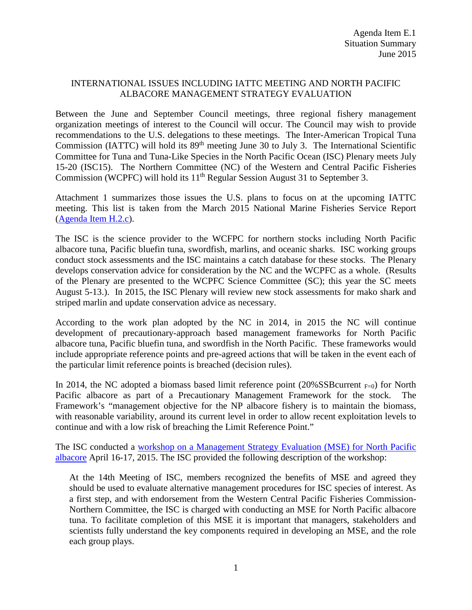## INTERNATIONAL ISSUES INCLUDING IATTC MEETING AND NORTH PACIFIC ALBACORE MANAGEMENT STRATEGY EVALUATION

Between the June and September Council meetings, three regional fishery management organization meetings of interest to the Council will occur. The Council may wish to provide recommendations to the U.S. delegations to these meetings. The Inter-American Tropical Tuna Commission (IATTC) will hold its 89<sup>th</sup> meeting June 30 to July 3. The International Scientific Committee for Tuna and Tuna-Like Species in the North Pacific Ocean (ISC) Plenary meets July 15-20 (ISC15). The Northern Committee (NC) of the Western and Central Pacific Fisheries Commission (WCPFC) will hold its 11<sup>th</sup> Regular Session August 31 to September 3.

Attachment 1 summarizes those issues the U.S. plans to focus on at the upcoming IATTC meeting. This list is taken from the March 2015 National Marine Fisheries Service Report [\(Agenda Item H.2.c\)](http://www.pcouncil.org/wp-content/uploads/H2c_NMFS_Rpt_MAR2015BB.pdf).

The ISC is the science provider to the WCFPC for northern stocks including North Pacific albacore tuna, Pacific bluefin tuna, swordfish, marlins, and oceanic sharks. ISC working groups conduct stock assessments and the ISC maintains a catch database for these stocks. The Plenary develops conservation advice for consideration by the NC and the WCPFC as a whole. (Results of the Plenary are presented to the WCPFC Science Committee (SC); this year the SC meets August 5-13.). In 2015, the ISC Plenary will review new stock assessments for mako shark and striped marlin and update conservation advice as necessary.

According to the work plan adopted by the NC in 2014, in 2015 the NC will continue development of precautionary-approach based management frameworks for North Pacific albacore tuna, Pacific bluefin tuna, and swordfish in the North Pacific. These frameworks would include appropriate reference points and pre-agreed actions that will be taken in the event each of the particular limit reference points is breached (decision rules).

In 2014, the NC adopted a biomass based limit reference point (20%SSB current  $_{F=0}$ ) for North Pacific albacore as part of a Precautionary Management Framework for the stock. The Framework's "management objective for the NP albacore fishery is to maintain the biomass, with reasonable variability, around its current level in order to allow recent exploitation levels to continue and with a low risk of breaching the Limit Reference Point."

The ISC conducted a [workshop on a Management Strategy Evaluation \(MSE\) for North Pacific](http://isc.ac.affrc.go.jp/reports/isc_mse_workshop.html)  [albacore](http://isc.ac.affrc.go.jp/reports/isc_mse_workshop.html) April 16-17, 2015. The ISC provided the following description of the workshop:

At the 14th Meeting of ISC, members recognized the benefits of MSE and agreed they should be used to evaluate alternative management procedures for ISC species of interest. As a first step, and with endorsement from the Western Central Pacific Fisheries Commission-Northern Committee, the ISC is charged with conducting an MSE for North Pacific albacore tuna. To facilitate completion of this MSE it is important that managers, stakeholders and scientists fully understand the key components required in developing an MSE, and the role each group plays.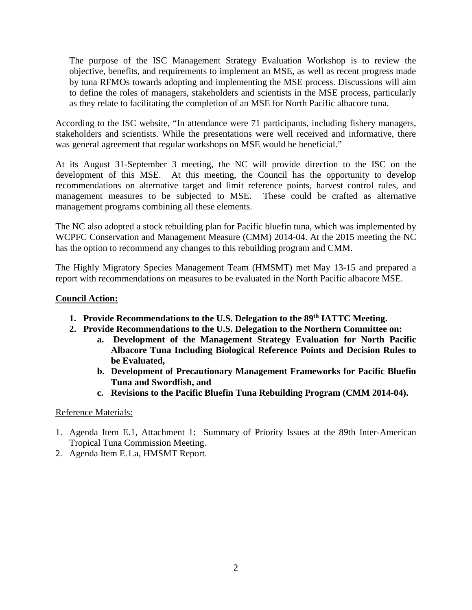The purpose of the ISC Management Strategy Evaluation Workshop is to review the objective, benefits, and requirements to implement an MSE, as well as recent progress made by tuna RFMOs towards adopting and implementing the MSE process. Discussions will aim to define the roles of managers, stakeholders and scientists in the MSE process, particularly as they relate to facilitating the completion of an MSE for North Pacific albacore tuna.

According to the ISC website, "In attendance were 71 participants, including fishery managers, stakeholders and scientists. While the presentations were well received and informative, there was general agreement that regular workshops on MSE would be beneficial."

At its August 31-September 3 meeting, the NC will provide direction to the ISC on the development of this MSE. At this meeting, the Council has the opportunity to develop recommendations on alternative target and limit reference points, harvest control rules, and management measures to be subjected to MSE. These could be crafted as alternative management programs combining all these elements.

The NC also adopted a stock rebuilding plan for Pacific bluefin tuna, which was implemented by WCPFC Conservation and Management Measure (CMM) 2014-04. At the 2015 meeting the NC has the option to recommend any changes to this rebuilding program and CMM.

The Highly Migratory Species Management Team (HMSMT) met May 13-15 and prepared a report with recommendations on measures to be evaluated in the North Pacific albacore MSE.

## **Council Action:**

- **1. Provide Recommendations to the U.S. Delegation to the 89th IATTC Meeting.**
- **2. Provide Recommendations to the U.S. Delegation to the Northern Committee on:**
	- **a. Development of the Management Strategy Evaluation for North Pacific Albacore Tuna Including Biological Reference Points and Decision Rules to be Evaluated,**
	- **b. Development of Precautionary Management Frameworks for Pacific Bluefin Tuna and Swordfish, and**
	- **c. Revisions to the Pacific Bluefin Tuna Rebuilding Program (CMM 2014-04).**

## Reference Materials:

- 1. Agenda Item E.1, Attachment 1: Summary of Priority Issues at the 89th Inter-American Tropical Tuna Commission Meeting.
- 2. Agenda Item E.1.a, HMSMT Report.